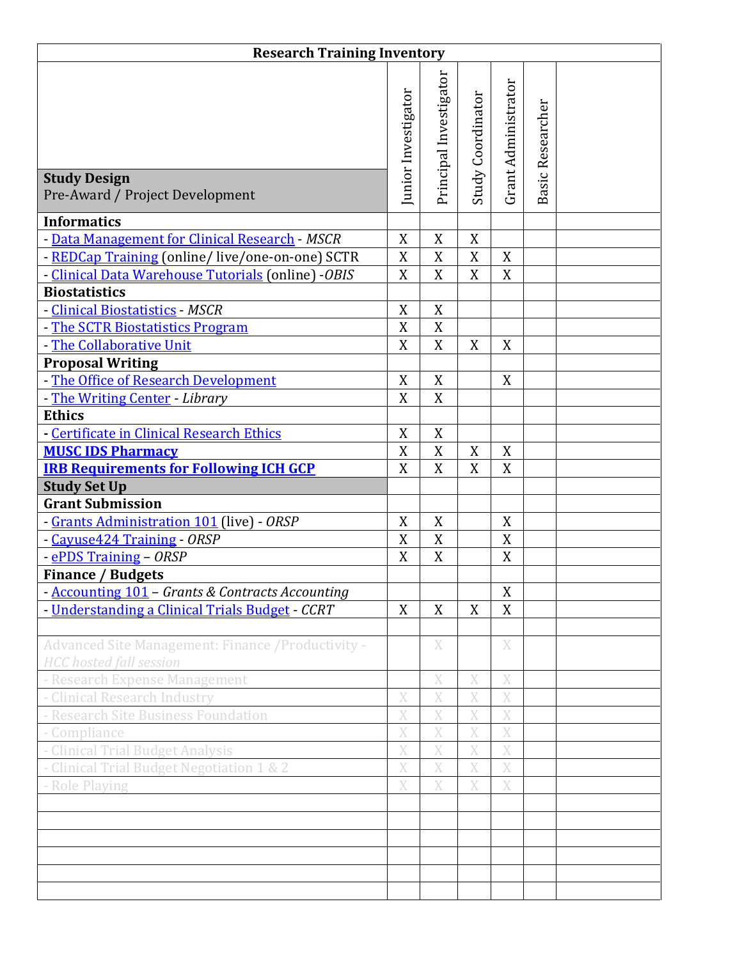| <b>Research Training Inventory</b>                                                   |                     |                        |                   |                     |                  |  |  |  |  |
|--------------------------------------------------------------------------------------|---------------------|------------------------|-------------------|---------------------|------------------|--|--|--|--|
|                                                                                      | Junior Investigator | Principal Investigator | Study Coordinator | Grant Administrator | Basic Researcher |  |  |  |  |
| <b>Study Design</b><br>Pre-Award / Project Development                               |                     |                        |                   |                     |                  |  |  |  |  |
| <b>Informatics</b>                                                                   |                     |                        |                   |                     |                  |  |  |  |  |
| - Data Management for Clinical Research - MSCR                                       | X                   | X                      | X                 |                     |                  |  |  |  |  |
| - REDCap Training (online/live/one-on-one) SCTR                                      | $\mathbf X$         | X                      | $\mathbf X$       | X                   |                  |  |  |  |  |
| - Clinical Data Warehouse Tutorials (online) - OBIS                                  | X                   | X                      | X                 | X                   |                  |  |  |  |  |
| <b>Biostatistics</b>                                                                 |                     |                        |                   |                     |                  |  |  |  |  |
| - Clinical Biostatistics - MSCR                                                      | $\boldsymbol{X}$    | $\overline{X}$         |                   |                     |                  |  |  |  |  |
| - The SCTR Biostatistics Program                                                     | $\boldsymbol{X}$    | X                      |                   |                     |                  |  |  |  |  |
| - The Collaborative Unit                                                             | $\overline{X}$      | $\overline{X}$         | $\boldsymbol{X}$  | X                   |                  |  |  |  |  |
| <b>Proposal Writing</b>                                                              |                     |                        |                   |                     |                  |  |  |  |  |
| - The Office of Research Development                                                 | $\mathbf X$         | $\mathbf X$            |                   | X                   |                  |  |  |  |  |
| - The Writing Center - Library                                                       | $\mathbf X$         | $\mathbf X$            |                   |                     |                  |  |  |  |  |
| <b>Ethics</b>                                                                        |                     |                        |                   |                     |                  |  |  |  |  |
| - Certificate in Clinical Research Ethics                                            | X                   | $\mathbf X$            |                   |                     |                  |  |  |  |  |
| <b>MUSC IDS Pharmacy</b>                                                             | X                   | $\mathbf X$            | X                 | X                   |                  |  |  |  |  |
| <b>IRB Requirements for Following ICH GCP</b>                                        | $\overline{X}$      | $\overline{X}$         | X                 | X                   |                  |  |  |  |  |
| <b>Study Set Up</b><br><b>Grant Submission</b>                                       |                     |                        |                   |                     |                  |  |  |  |  |
| - Grants Administration 101 (live) - ORSP                                            | X                   | X                      |                   | X                   |                  |  |  |  |  |
| - Cayuse424 Training - ORSP                                                          | X                   | X                      |                   | X                   |                  |  |  |  |  |
| - ePDS Training - ORSP                                                               | X                   | $\mathbf X$            |                   | $\mathbf X$         |                  |  |  |  |  |
| <b>Finance / Budgets</b>                                                             |                     |                        |                   |                     |                  |  |  |  |  |
| - Accounting 101 - Grants & Contracts Accounting                                     |                     |                        |                   | X                   |                  |  |  |  |  |
| - Understanding a Clinical Trials Budget - CCRT                                      | X                   | X                      | X                 | X                   |                  |  |  |  |  |
|                                                                                      |                     |                        |                   |                     |                  |  |  |  |  |
| Advanced Site Management: Finance / Productivity -<br><b>HCC</b> hosted fall session |                     | X                      |                   | $\mathbf X$         |                  |  |  |  |  |
| - Research Expense Management                                                        |                     | X                      | X                 | X                   |                  |  |  |  |  |
| - Clinical Research Industry                                                         | X                   | X                      | X                 | X                   |                  |  |  |  |  |
| - Research Site Business Foundation                                                  | X                   | X                      | X                 | X                   |                  |  |  |  |  |
| - Compliance                                                                         | X                   | X                      | X                 | X                   |                  |  |  |  |  |
| - Clinical Trial Budget Analysis                                                     | X                   | $\bar{X}$              | X                 | X                   |                  |  |  |  |  |
| - Clinical Trial Budget Negotiation 1 & 2                                            | X                   | $\bar{X}$              | $\bar{X}$         | X                   |                  |  |  |  |  |
| - Role Playing                                                                       | X                   | X                      | X                 | X                   |                  |  |  |  |  |
|                                                                                      |                     |                        |                   |                     |                  |  |  |  |  |
|                                                                                      |                     |                        |                   |                     |                  |  |  |  |  |
|                                                                                      |                     |                        |                   |                     |                  |  |  |  |  |
|                                                                                      |                     |                        |                   |                     |                  |  |  |  |  |
|                                                                                      |                     |                        |                   |                     |                  |  |  |  |  |
|                                                                                      |                     |                        |                   |                     |                  |  |  |  |  |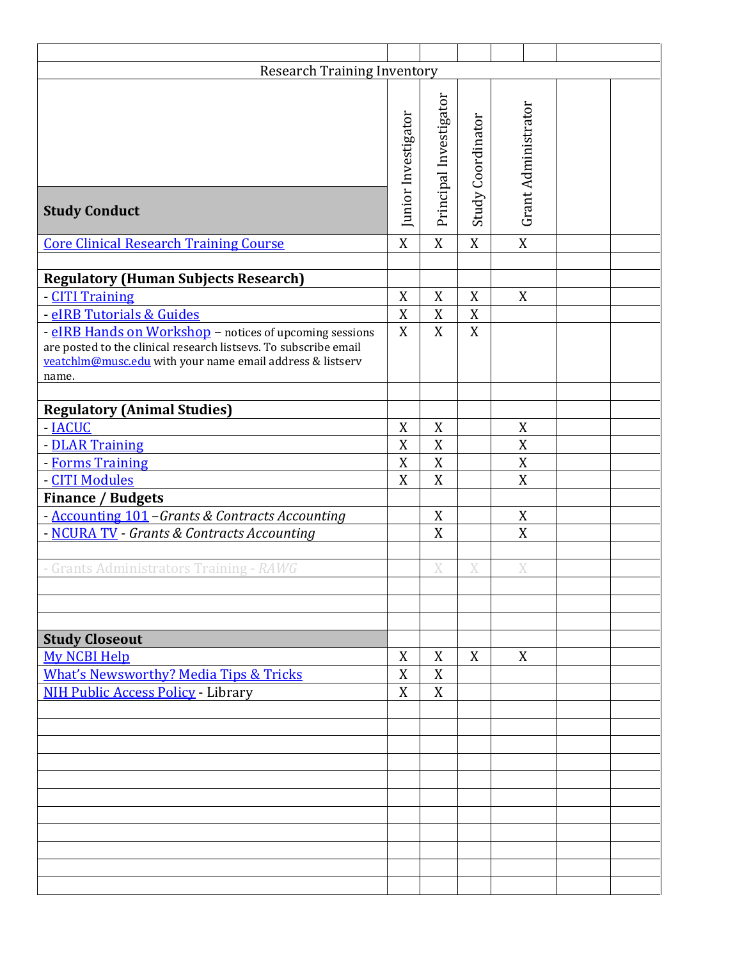| <b>Research Training Inventory</b>                                                                                                                                                                |                     |                        |                   |                     |  |  |  |  |  |
|---------------------------------------------------------------------------------------------------------------------------------------------------------------------------------------------------|---------------------|------------------------|-------------------|---------------------|--|--|--|--|--|
| <b>Study Conduct</b>                                                                                                                                                                              | Junior Investigator | Principal Investigator | Study Coordinator | Grant Administrator |  |  |  |  |  |
| <b>Core Clinical Research Training Course</b>                                                                                                                                                     | $\overline{X}$      | $\overline{X}$         | X                 | $\overline{X}$      |  |  |  |  |  |
|                                                                                                                                                                                                   |                     |                        |                   |                     |  |  |  |  |  |
| <b>Regulatory (Human Subjects Research)</b>                                                                                                                                                       |                     |                        |                   |                     |  |  |  |  |  |
| - CITI Training                                                                                                                                                                                   | $\mathbf X$         | X                      | X                 | X                   |  |  |  |  |  |
| - eIRB Tutorials & Guides                                                                                                                                                                         | X                   | $\boldsymbol{X}$       | X                 |                     |  |  |  |  |  |
| - eIRB Hands on Workshop - notices of upcoming sessions<br>are posted to the clinical research listsevs. To subscribe email<br>veatchlm@musc.edu with your name email address & listserv<br>name. | X                   | $\boldsymbol{X}$       | X                 |                     |  |  |  |  |  |
| <b>Regulatory (Animal Studies)</b>                                                                                                                                                                |                     |                        |                   |                     |  |  |  |  |  |
| - <b>IACUC</b>                                                                                                                                                                                    | $\boldsymbol{X}$    | X                      |                   | X                   |  |  |  |  |  |
| - DLAR Training                                                                                                                                                                                   | X                   | X                      |                   | $\boldsymbol{X}$    |  |  |  |  |  |
| - Forms Training                                                                                                                                                                                  | X                   | $\mathbf X$            |                   | $\mathbf X$         |  |  |  |  |  |
| - CITI Modules                                                                                                                                                                                    | $\mathbf X$         | X                      |                   | X                   |  |  |  |  |  |
| <b>Finance / Budgets</b>                                                                                                                                                                          |                     |                        |                   |                     |  |  |  |  |  |
| - Accounting 101 - Grants & Contracts Accounting                                                                                                                                                  |                     | X                      |                   | X                   |  |  |  |  |  |
| - NCURA TV - Grants & Contracts Accounting                                                                                                                                                        |                     | X                      |                   | X                   |  |  |  |  |  |
|                                                                                                                                                                                                   |                     |                        |                   |                     |  |  |  |  |  |
| - Grants Administrators Training - RAWG                                                                                                                                                           |                     | X                      | X                 | X                   |  |  |  |  |  |
|                                                                                                                                                                                                   |                     |                        |                   |                     |  |  |  |  |  |
| <b>Study Closeout</b>                                                                                                                                                                             | X                   | X                      | X                 |                     |  |  |  |  |  |
| <b>My NCBI Help</b><br><b>What's Newsworthy? Media Tips &amp; Tricks</b>                                                                                                                          | $\boldsymbol{X}$    |                        |                   | X                   |  |  |  |  |  |
|                                                                                                                                                                                                   |                     | X                      |                   |                     |  |  |  |  |  |
| NIH Public Access Policy - Library                                                                                                                                                                | X                   | X                      |                   |                     |  |  |  |  |  |
|                                                                                                                                                                                                   |                     |                        |                   |                     |  |  |  |  |  |
|                                                                                                                                                                                                   |                     |                        |                   |                     |  |  |  |  |  |
|                                                                                                                                                                                                   |                     |                        |                   |                     |  |  |  |  |  |
|                                                                                                                                                                                                   |                     |                        |                   |                     |  |  |  |  |  |
|                                                                                                                                                                                                   |                     |                        |                   |                     |  |  |  |  |  |
|                                                                                                                                                                                                   |                     |                        |                   |                     |  |  |  |  |  |
|                                                                                                                                                                                                   |                     |                        |                   |                     |  |  |  |  |  |
|                                                                                                                                                                                                   |                     |                        |                   |                     |  |  |  |  |  |
|                                                                                                                                                                                                   |                     |                        |                   |                     |  |  |  |  |  |
|                                                                                                                                                                                                   |                     |                        |                   |                     |  |  |  |  |  |
|                                                                                                                                                                                                   |                     |                        |                   |                     |  |  |  |  |  |